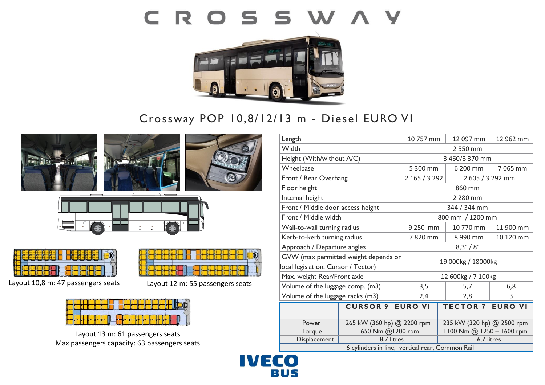# CROSSWAY



## Crossway POP 10,8/12/13 m - Diesel EURO VI



Max passengers capacity: 63 passengers seats

| Length                                          |                            | 10 757 mm               | 12 097 mm                  | 12 962 mm |
|-------------------------------------------------|----------------------------|-------------------------|----------------------------|-----------|
| Width                                           |                            | 2 550 mm                |                            |           |
| Height (With/without A/C)                       |                            | 3 460/3 370 mm          |                            |           |
| Wheelbase                                       |                            | 5 300 mm                | 6 200 mm                   | 7 065 mm  |
| Front / Rear Overhang                           |                            | 2 165 / 3 292           | 2 605 / 3 292 mm           |           |
| Floor height                                    |                            | 860 mm                  |                            |           |
| Internal height                                 |                            | 2 280 mm                |                            |           |
| Front / Middle door access height               |                            | 344 / 344 mm            |                            |           |
| Front / Middle width                            |                            | 800 mm / 1200 mm        |                            |           |
| Wall-to-wall turning radius                     |                            | 9 250 mm                | 10 770 mm                  | 11 900 mm |
| Kerb-to-kerb turning radius                     |                            | 7820 mm                 | 8 990 mm                   | 10 120 mm |
| Approach / Departure angles                     |                            | $8,3^{\circ}/8^{\circ}$ |                            |           |
| GVW (max permitted weight depends on            |                            | 19 000kg / 18000kg      |                            |           |
| local legislation, Cursor / Tector)             |                            |                         |                            |           |
| Max. weight Rear/Front axle                     |                            | 12 600kg / 7 100kg      |                            |           |
| Volume of the luggage comp. (m3)                |                            | 3,5                     | 5,7                        | 6,8       |
| Volume of the luggage racks (m3)                |                            | 2,4                     | 2,8                        | 3         |
|                                                 | <b>CURSOR 9 EURO VI</b>    |                         | <b>TECTOR 7 EURO VI</b>    |           |
|                                                 |                            |                         |                            |           |
| Power                                           | 265 kW (360 hp) @ 2200 rpm |                         | 235 kW (320 hp) @ 2500 rpm |           |
| Torque                                          | 1650 Nm @1200 rpm          |                         | 1100 Nm @ 1250 - 1600 rpm  |           |
| Displacement                                    | 8.7 litres                 |                         | 6,7 litres                 |           |
| 6 cylinders in line, vertical rear, Common Rail |                            |                         |                            |           |